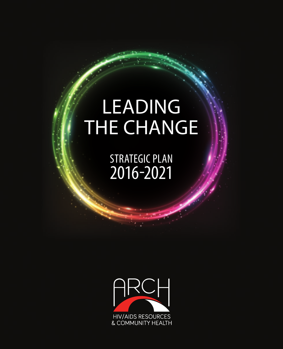# LEADING THE CHANGE

STRATEGIC PLAN 2016-2021

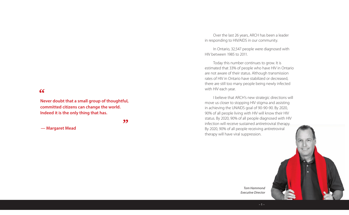**Never doubt that a small group of thoughtful, committed citizens can change the world. Indeed it is the only thing that has.**

**"**

**— Margaret Mead**

Over the last 26 years, ARCH has been a leader in responding to HIV/AIDS in our community.

In Ontario, 32,547 people were diagnosed with HIV between 1985 to 2011.

Today this number continues to grow. It is estimated that 33% of people who have HIV in Ontario are not aware of their status. Although transmission rates of HIV in Ontario have stabilized or decreased, there are still too many people being newly infected with HIV each year.

I believe that ARCH's new strategic directions will move us closer to stopping HIV stigma and assisting in achieving the UNAIDS goal of 90-90-90. By 2020, 90% of all people living with HIV will know their HIV status. By 2020, 90% of all people diagnosed with HIV infection will receive sustained antiretroviral therapy. By 2020, 90% of all people receiving antiretroviral therapy will have viral suppression.



*Tom Hammond Executive Director*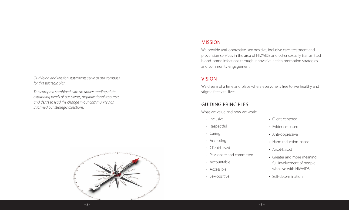*Our Vision and Mission statements serve as our compass for this strategic plan.*

*This compass combined with an understanding of the expanding needs of our clients, organizational resources and desire to lead the change in our community has informed our strategic directions.*



### MISSION

We provide anti-oppressive, sex positive, inclusive care, treatment and prevention services in the area of HIV/AIDS and other sexually transmitted blood-borne infections through innovative health promotion strategies and community engagement.

## VISION

We dream of a time and place where everyone is free to live healthy and stigma free vital lives.

# GUIDING PRINCIPLES

What we value and how we work:

- Inclusive
- Respectful
- Caring
- Accepting
- Client-based
- Passionate and committed
- Accountable
- Accessible
- Sex-positive
- Client-centered
- Evidence-based
- Anti-oppressive
- Harm reduction-based
- Asset-based
- Greater and more meaning full involvement of people who live with HIV/AIDS
- Self-determination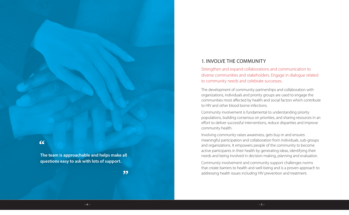## 1. INVOLVE THE COMMUNITY

Strengthen and expand collaborations and communication to diverse communities and stakeholders. Engage in dialogue related to community needs and celebrate successes.

The development of community partnerships and collaboration with organizations, individuals and priority groups are used to engage the communities most affected by health and social factors which contribute to HIV and other blood borne infections.

Community involvement is fundamental to understanding priority populations, building consensus on priorities, and sharing resources in an effort to deliver successful interventions, reduce disparities and improve community health.

Involving community raises awareness, gets buy-in and ensures meaningful participation and collaboration from individuals, sub-groups and organizations. It empowers people of the community to become active participants in their health by generating ideas, identifying their needs and being involved in decision-making, planning and evaluation.

Community involvement and community support challenges norms that create barriers to health and well-being and is a proven approach to addressing health issues including HIV prevention and treatment.

**"**

**The team is approachable and helps make all questions easy to ask with lots of support.**

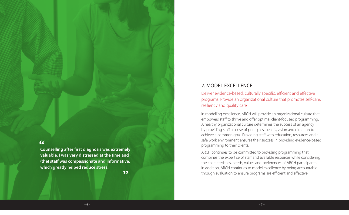**Counselling after first diagnosis was extremely valuable. I was very distressed at the time and (the) staff was compassionate and informative, which greatly helped reduce stress.**

**"**

# 2. MODEL EXCELLENCE

Deliver evidence-based, culturally specific, efficient and effective programs. Provide an organizational culture that promotes self-care, resiliency and quality care.

In modelling excellence, ARCH will provide an organizational culture that empowers staff to thrive and offer optimal client-focused programming. A healthy organizational culture determines the success of an agency by providing staff a sense of principles, beliefs, vision and direction to achieve a common goal. Providing staff with education, resources and a safe work environment ensures their success in providing evidence-based programming to their clients.

ARCH continues to be committed to providing programming that combines the expertise of staff and available resources while considering the characteristics, needs, values and preferences of ARCH participants. In addition, ARCH continues to model excellence by being accountable through evaluation to ensure programs are efficient and effective.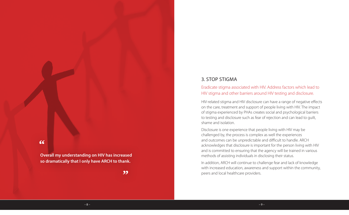**Overall my understanding on HIV has increased so dramatically that I only have ARCH to thank.**

#### **"**

## 3. STOP STIGMA

## Eradicate stigma associated with HIV. Address factors which lead to HIV stigma and other barriers around HIV testing and disclosure.

HIV-related stigma and HIV disclosure can have a range of negative effects on the care, treatment and support of people living with HIV. The impact of stigma experienced by PHAs creates social and psychological barriers to testing and disclosure such as fear of rejection and can lead to guilt, shame and isolation.

Disclosure is one experience that people living with HIV may be challenged by, the process is complex as well the experiences and outcomes can be unpredictable and difficult to handle. ARCH acknowledges that disclosure is important for the person living with HIV and is committed to ensuring that the agency will be trained in various methods of assisting individuals in disclosing their status.

In addition, ARCH will continue to challenge fear and lack of knowledge with increased education, awareness and support within the community, peers and local healthcare providers.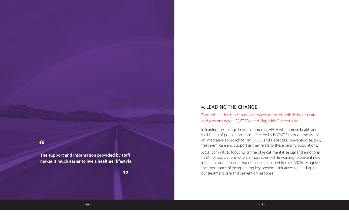**The support and information provided by staff makes it much easier to live a healthier lifestyle.**

## **"**

## 4. LEADING THE CHANGE

Through leadership broaden services to foster holistic health care and prevent new HIV, STBBIs and Hepatitis C infections.

In leading the change in our community, ARCH will improve health and well-being of populations most affected by HIV/AIDS through the use of an integrative approach to HIV, STBBIs and Hepatitis C prevention, testing, treatment, care and support as they relate to these priority populations.

ARCH commits to focusing on the physical, mental, sexual and emotional health of populations who are most at-risk while working to prevent new infections and ensuring that clients are engaged in care. ARCH recognizes the importance of incorporating key provincial initiatives when shaping our treatment care and prevention response.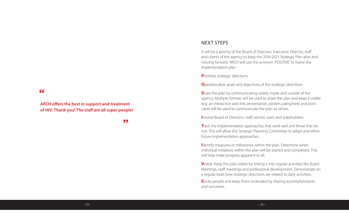**ARCH offers the best in support and treatment of HIV. Thank you! The staff are all super people!**

**"**

## NEXT STEPS

It will be a priority of the Board of Directors, Executive Director, staff and clients of the agency to keep the 2016-2021 Strategic Plan alive and moving forward. ARCH will use the acronym 'POSITIVE' to frame the implementation plan.

**P**rioritize strategic directions

**O**perationalize goals and objectives of the strategic directions

**S**hare the plan by communicating widely inside and outside of the agency. Multiple formats will be used to share the plan and keep it visible (e.g. an interactive web link presentation, posters, pamphlets and postcards will be used to communicate the plan to others.

**I**nvolve Board of Directors, staff, service users and stakeholders.

**T**rack the implementation approaches that work well and those that do not. This will allow the Strategic Planning Committee to adapt and refine future implementation approaches.

**I**dentify measures or milestones within the plan. Determine when individual initiatives within the plan will be started and completed. This will help make progress apparent to all.

**V**isible. Keep the plan visible by linking it into regular activities like Board Meetings, staff meetings and professional development. Demonstrate on a regular basis how strategic directions are related to daily activities.

**E**xcite people and keep them motivated by sharing accomplishments and successes.